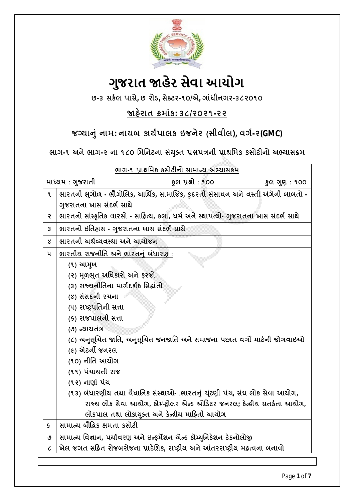

# **ગુજરાત ӽહેર સેવા આયોગ**

**છ-૩ સક½લ પાસે, છ રોડ, સેƈટર-૧૦/એ, ગાંધીનગર-૩૮૨૦૧૦**

# **Ĥહ°રાત ˲માંક: ૩૮/૨૦૨૧-૨૨**

# **જƊયાȵું નામ: નાયબ કાય½પાલક ઇજનેર (સીવીલ), વગ½-૨(GMC)**

<u>ભાગ-૧ અને ભાગ-૨ ના ૧૮૦ મિનિટના સંયુક્ત પ્રશ્નપત્રની પ્રાથમિક કસોટીનો અભ્યાસક્રમ</u>

| ભાગ-૧ પ્રાથમિક કસોટીનો સામાન્ય અભ્યાસક્રમ |                                                                         |                                                                                      |              |  |  |
|-------------------------------------------|-------------------------------------------------------------------------|--------------------------------------------------------------------------------------|--------------|--|--|
| માધ્યમ : ગુજરાતી                          |                                                                         | કુલ પ્રશ્નો : ૧૦૦                                                                    | કુલ ગુણ: ૧૦૦ |  |  |
| ۹                                         |                                                                         | ભારતની ભૂગોળ - ભૌગોલિક, આર્થિક, સામાજિક, કુદરતી સંસાધન અને વસ્તી અંગેની બાબતો -      |              |  |  |
|                                           | ગુજરાતના ખાસ સંદર્ભ સાથે                                                |                                                                                      |              |  |  |
| ę                                         |                                                                         | ભારતનો સાંસ્કૃતિક વારસો - સાહિત્ય, કલા, ધર્મ અને સ્થાપત્યો- ગુજરાતના ખાસ સંદર્ભ સાથે |              |  |  |
| 3                                         | ભારતનો ઇતિહાસ - ગુજરાતના ખાસ સંદર્ભ સાથે                                |                                                                                      |              |  |  |
| Χ                                         | ભારતની અર્થવ્યવસ્થા અને આયોજન                                           |                                                                                      |              |  |  |
| ૫                                         | ભારતીય રાજનીતિ અને ભારતનું બંધારણ :                                     |                                                                                      |              |  |  |
|                                           | (૧) આમુખ                                                                |                                                                                      |              |  |  |
|                                           | (૨) મૂળભૂત અધિકારો અને ફરજો                                             |                                                                                      |              |  |  |
|                                           | (3) રાજ્યનીતિના માર્ગદર્શક સિદ્ધાંતો                                    |                                                                                      |              |  |  |
|                                           | (४) સંસદની રચના                                                         |                                                                                      |              |  |  |
|                                           | (૫) રાષ્ટ્રપતિની સત્તા                                                  |                                                                                      |              |  |  |
|                                           | (૬) રાજપાલની સત્તા                                                      |                                                                                      |              |  |  |
|                                           | (૭) ન્યાયતંત્ર                                                          |                                                                                      |              |  |  |
|                                           | (૮) અનુસૂચિત જાતિ, અનુસૂચિત જનજાતિ અને સમાજના પછાત વર્ગો માટેની જોગવાઇઓ |                                                                                      |              |  |  |
|                                           | (૯) એટર્ની જનરલ                                                         |                                                                                      |              |  |  |
|                                           | (૧૦) નીતિ આચોગ                                                          |                                                                                      |              |  |  |
|                                           | (૧૧) પંચાયતી રાજ                                                        |                                                                                      |              |  |  |
|                                           | (૧૨) નાણાં પંચ                                                          |                                                                                      |              |  |  |
|                                           |                                                                         | (૧૩) બંધારણીય તથા વૈધાનિક સંસ્થાઓ- .ભારતનું યૂંટણી પંચ, સંઘ લોક સેવા આયોગ,           |              |  |  |
|                                           |                                                                         | રાજ્ય લોક સેવા આયોગ, કોમ્પ્ટ્રોલર એન્ડ ઓડિટર જનરલ; કેન્ન્રીય સતર્કતા આયોગ,           |              |  |  |
|                                           |                                                                         | લોકપાલ તથા લોકાયુક્ત અને કેન્દ્રીય માહિતી આયોગ                                       |              |  |  |
| Š.                                        | સામાન્ય બૌદ્ધિક ક્ષમતા કસોટી                                            |                                                                                      |              |  |  |
| ٯ                                         |                                                                         | સામાન્ય વિજ્ઞાન, પર્યાવરણ અને ઇન્ફર્મેશન એન્ડ કોમ્યુનિકેશન ટેકનોલોજી                 |              |  |  |
| $\mathcal{C}_{\mathcal{C}}$               |                                                                         | ખેલ જગત સહિત રોજબરોજના પ્રાદેશિક, રાષ્ટ્રીય અને આંતરરાષ્ટ્રીય મહ્ત્વના બનાવો         |              |  |  |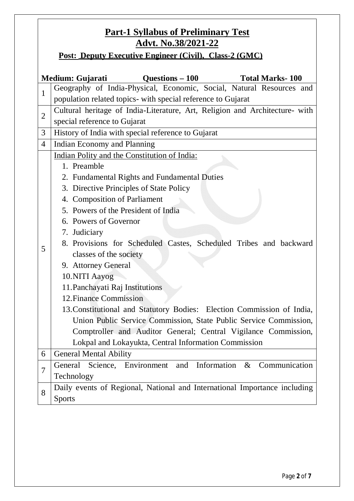# **Part-1 Syllabus of Preliminary Test Advt. No.38/2021-22**

**Post: Deputy Executive Engineer (Civil), Class-2 (GMC)**

|                | Questions – 100<br>Medium: Gujarati<br><b>Total Marks-100</b>                  |  |  |  |  |
|----------------|--------------------------------------------------------------------------------|--|--|--|--|
| $\mathbf{1}$   | Geography of India-Physical, Economic, Social, Natural Resources and           |  |  |  |  |
|                | population related topics- with special reference to Gujarat                   |  |  |  |  |
| $\overline{2}$ | Cultural heritage of India-Literature, Art, Religion and Architecture- with    |  |  |  |  |
|                | special reference to Gujarat                                                   |  |  |  |  |
| 3              | History of India with special reference to Gujarat                             |  |  |  |  |
| $\overline{4}$ | Indian Economy and Planning                                                    |  |  |  |  |
|                | Indian Polity and the Constitution of India:                                   |  |  |  |  |
| 5              | 1. Preamble                                                                    |  |  |  |  |
|                | 2. Fundamental Rights and Fundamental Duties                                   |  |  |  |  |
|                | 3. Directive Principles of State Policy                                        |  |  |  |  |
|                | 4. Composition of Parliament                                                   |  |  |  |  |
|                | 5. Powers of the President of India                                            |  |  |  |  |
|                | 6. Powers of Governor                                                          |  |  |  |  |
|                | 7. Judiciary                                                                   |  |  |  |  |
|                | 8. Provisions for Scheduled Castes, Scheduled Tribes and backward              |  |  |  |  |
|                | classes of the society                                                         |  |  |  |  |
|                | 9. Attorney General                                                            |  |  |  |  |
|                | 10.NITI Aayog                                                                  |  |  |  |  |
|                | 11. Panchayati Raj Institutions                                                |  |  |  |  |
|                | 12. Finance Commission                                                         |  |  |  |  |
|                | 13. Constitutional and Statutory Bodies: Election Commission of India,         |  |  |  |  |
|                | Union Public Service Commission, State Public Service Commission,              |  |  |  |  |
|                | Comptroller and Auditor General; Central Vigilance Commission,                 |  |  |  |  |
|                | Lokpal and Lokayukta, Central Information Commission                           |  |  |  |  |
| 6              | <b>General Mental Ability</b>                                                  |  |  |  |  |
| $\overline{7}$ | Science, Environment<br>Information<br>$\&$<br>and<br>Communication<br>General |  |  |  |  |
|                | Technology                                                                     |  |  |  |  |
| 8              | Daily events of Regional, National and International Importance including      |  |  |  |  |
|                | <b>Sports</b>                                                                  |  |  |  |  |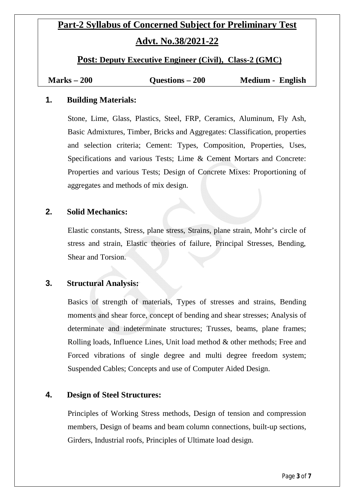# **Part-2 Syllabus of Concerned Subject for Preliminary Test Advt. No.38/2021-22**

**Post: Deputy Executive Engineer (Civil), Class-2 (GMC)**

| $Marks - 200$ | Questions – 200 | Medium - English |
|---------------|-----------------|------------------|
|---------------|-----------------|------------------|

# **1. Building Materials:**

Stone, Lime, Glass, Plastics, Steel, FRP, Ceramics, Aluminum, Fly Ash, Basic Admixtures, Timber, Bricks and Aggregates: Classification, properties and selection criteria; Cement: Types, Composition, Properties, Uses, Specifications and various Tests; Lime & Cement Mortars and Concrete: Properties and various Tests; Design of Concrete Mixes: Proportioning of aggregates and methods of mix design.

# **2. Solid Mechanics:**

Elastic constants, Stress, plane stress, Strains, plane strain, Mohr's circle of stress and strain, Elastic theories of failure, Principal Stresses, Bending, Shear and Torsion.

# **3. Structural Analysis:**

Basics of strength of materials, Types of stresses and strains, Bending moments and shear force, concept of bending and shear stresses; Analysis of determinate and indeterminate structures; Trusses, beams, plane frames; Rolling loads, Influence Lines, Unit load method & other methods; Free and Forced vibrations of single degree and multi degree freedom system; Suspended Cables; Concepts and use of Computer Aided Design.

# **4. Design of Steel Structures:**

Principles of Working Stress methods, Design of tension and compression members, Design of beams and beam column connections, built-up sections, Girders, Industrial roofs, Principles of Ultimate load design.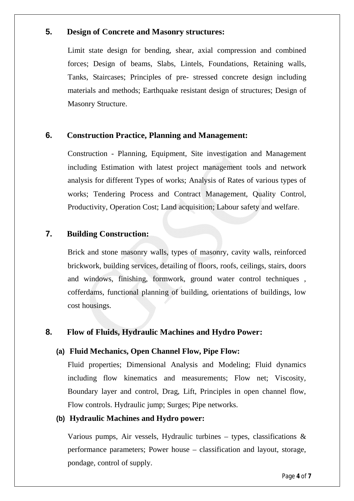# **5. Design of Concrete and Masonry structures:**

Limit state design for bending, shear, axial compression and combined forces; Design of beams, Slabs, Lintels, Foundations, Retaining walls, Tanks, Staircases; Principles of pre- stressed concrete design including materials and methods; Earthquake resistant design of structures; Design of Masonry Structure.

# **6. Construction Practice, Planning and Management:**

Construction - Planning, Equipment, Site investigation and Management including Estimation with latest project management tools and network analysis for different Types of works; Analysis of Rates of various types of works; Tendering Process and Contract Management, Quality Control, Productivity, Operation Cost; Land acquisition; Labour safety and welfare.

# **7. Building Construction:**

Brick and stone masonry walls, types of masonry, cavity walls, reinforced brickwork, building services, detailing of floors, roofs, ceilings, stairs, doors and windows, finishing, formwork, ground water control techniques , cofferdams, functional planning of building, orientations of buildings, low cost housings.

# **8. Flow of Fluids, Hydraulic Machines and Hydro Power:**

# **(a) Fluid Mechanics, Open Channel Flow, Pipe Flow:**

Fluid properties; Dimensional Analysis and Modeling; Fluid dynamics including flow kinematics and measurements; Flow net; Viscosity, Boundary layer and control, Drag, Lift, Principles in open channel flow, Flow controls. Hydraulic jump; Surges; Pipe networks.

#### **(b) Hydraulic Machines and Hydro power:**

Various pumps, Air vessels, Hydraulic turbines – types, classifications  $\&$ performance parameters; Power house – classification and layout, storage, pondage, control of supply.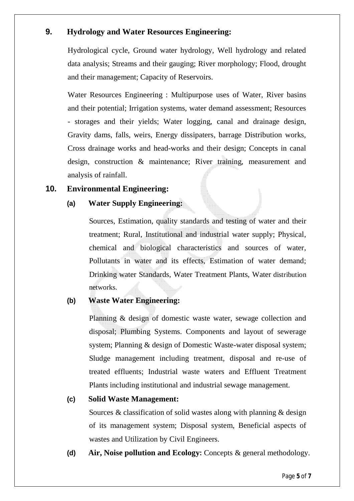# **9. Hydrology and Water Resources Engineering:**

Hydrological cycle, Ground water hydrology, Well hydrology and related data analysis; Streams and their gauging; River morphology; Flood, drought and their management; Capacity of Reservoirs.

Water Resources Engineering : Multipurpose uses of Water, River basins and their potential; Irrigation systems, water demand assessment; Resources - storages and their yields; Water logging, canal and drainage design, Gravity dams, falls, weirs, Energy dissipaters, barrage Distribution works, Cross drainage works and head-works and their design; Concepts in canal design, construction & maintenance; River training, measurement and analysis of rainfall.

# **10. Environmental Engineering:**

# **(a) Water Supply Engineering:**

Sources, Estimation, quality standards and testing of water and their treatment; Rural, Institutional and industrial water supply; Physical, chemical and biological characteristics and sources of water, Pollutants in water and its effects, Estimation of water demand; Drinking water Standards, Water Treatment Plants, Water distribution networks.

# **(b) Waste Water Engineering:**

Planning & design of domestic waste water, sewage collection and disposal; Plumbing Systems. Components and layout of sewerage system; Planning & design of Domestic Waste-water disposal system; Sludge management including treatment, disposal and re-use of treated effluents; Industrial waste waters and Effluent Treatment Plants including institutional and industrial sewage management.

# **(c) Solid Waste Management:**

Sources & classification of solid wastes along with planning & design of its management system; Disposal system, Beneficial aspects of wastes and Utilization by Civil Engineers.

**(d) Air, Noise pollution and Ecology:** Concepts & general methodology.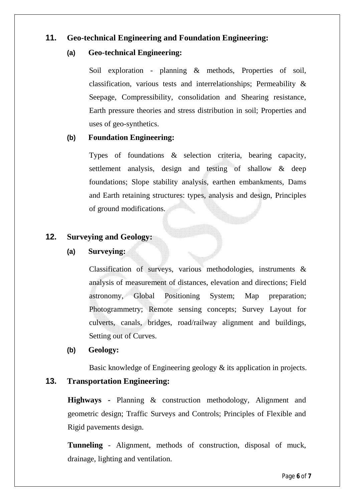# **11. Geo-technical Engineering and Foundation Engineering:**

# **(a) Geo-technical Engineering:**

Soil exploration - planning & methods, Properties of soil, classification, various tests and interrelationships; Permeability & Seepage, Compressibility, consolidation and Shearing resistance, Earth pressure theories and stress distribution in soil; Properties and uses of geo-synthetics.

# **(b) Foundation Engineering:**

Types of foundations & selection criteria, bearing capacity, settlement analysis, design and testing of shallow & deep foundations; Slope stability analysis, earthen embankments, Dams and Earth retaining structures: types, analysis and design, Principles of ground modifications.

# **12. Surveying and Geology:**

# **(a) Surveying:**

Classification of surveys, various methodologies, instruments & analysis of measurement of distances, elevation and directions; Field astronomy, Global Positioning System; Map preparation; Photogrammetry; Remote sensing concepts; Survey Layout for culverts, canals, bridges, road/railway alignment and buildings, Setting out of Curves.

# **(b) Geology:**

Basic knowledge of Engineering geology & its application in projects.

# **13. Transportation Engineering:**

**Highways -** Planning & construction methodology, Alignment and geometric design; Traffic Surveys and Controls; Principles of Flexible and Rigid pavements design.

**Tunneling** - Alignment, methods of construction, disposal of muck, drainage, lighting and ventilation.